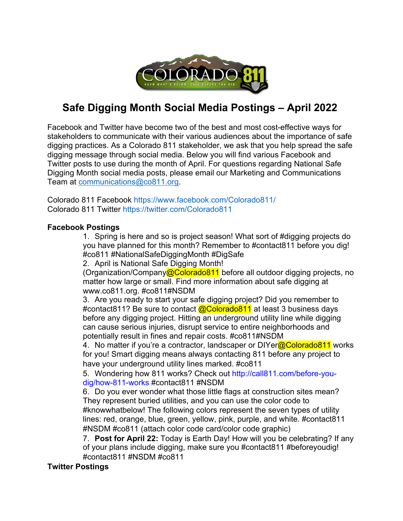

## **Safe Digging Month Social Media Postings – April 2022**

Facebook and Twitter have become two of the best and most cost-effective ways for stakeholders to communicate with their various audiences about the importance of safe digging practices. As a Colorado 811 stakeholder, we ask that you help spread the safe digging message through social media. Below you will find various Facebook and Twitter posts to use during the month of April. For questions regarding National Safe Digging Month social media posts, please email our Marketing and Communications Team at communications@co811.org.

Colorado 811 Facebook https://www.facebook.com/Colorado811/ Colorado 811 Twitter https://twitter.com/Colorado811

## **Facebook Postings**

1. Spring is here and so is project season! What sort of #digging projects do you have planned for this month? Remember to #contact811 before you dig! #co811 #NationalSafeDiggingMonth #DigSafe

2. April is National Safe Digging Month!

(Organization/Company@Colorado811 before all outdoor digging projects, no matter how large or small. Find more information about safe digging at www.co811.org. #co811#NSDM

3. Are you ready to start your safe digging project? Did you remember to #contact811? Be sure to contact **@Colorado811** at least 3 business days before any digging project. Hitting an underground utility line while digging can cause serious injuries, disrupt service to entire neighborhoods and potentially result in fines and repair costs. #co811#NSDM

4. No matter if you're a contractor, landscaper or DIYer@Colorado811 works for you! Smart digging means always contacting 811 before any project to have your underground utility lines marked. #co811

5. Wondering how 811 works? Check out http://call811.com/before-youdig/how-811-works #contact811 #NSDM

6. Do you ever wonder what those little flags at construction sites mean? They represent buried utilities, and you can use the color code to #knowwhatbelow! The following colors represent the seven types of utility lines: red, orange, blue, green, yellow, pink, purple, and white. #contact811 #NSDM #co811 (attach color code card/color code graphic)

7. **Post for April 22:** Today is Earth Day! How will you be celebrating? If any of your plans include digging, make sure you #contact811 #beforeyoudig! #contact811 #NSDM #co811

## **Twitter Postings**